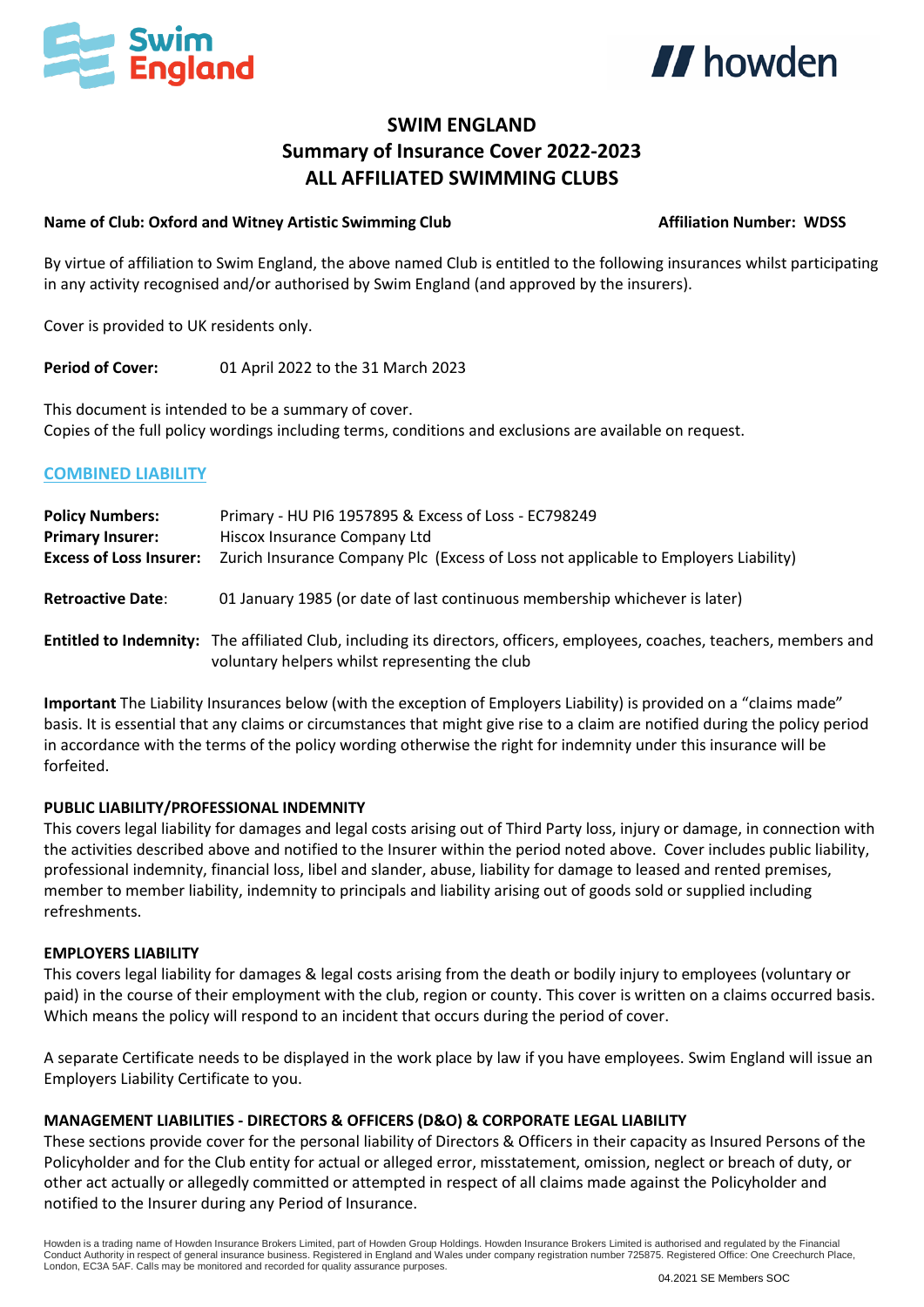



# **SWIM ENGLAND Summary of Insurance Cover 2022-2023 ALL AFFILIATED SWIMMING CLUBS**

#### **Name of Club: Oxford and Witney Artistic Swimming Club Affiliation Number: WDSS**

By virtue of affiliation to Swim England, the above named Club is entitled to the following insurances whilst participating in any activity recognised and/or authorised by Swim England (and approved by the insurers).

Cover is provided to UK residents only.

**Period of Cover:** 01 April 2022 to the 31 March 2023

This document is intended to be a summary of cover. Copies of the full policy wordings including terms, conditions and exclusions are available on request.

### **COMBINED LIABILITY**

| <b>Policy Numbers:</b>         | Primary - HU PI6 1957895 & Excess of Loss - EC798249                                                                                                                       |
|--------------------------------|----------------------------------------------------------------------------------------------------------------------------------------------------------------------------|
| <b>Primary Insurer:</b>        | Hiscox Insurance Company Ltd                                                                                                                                               |
| <b>Excess of Loss Insurer:</b> | Zurich Insurance Company Plc (Excess of Loss not applicable to Employers Liability)                                                                                        |
| <b>Retroactive Date:</b>       | 01 January 1985 (or date of last continuous membership whichever is later)                                                                                                 |
|                                | Entitled to Indemnity: The affiliated Club, including its directors, officers, employees, coaches, teachers, members and<br>voluntary helpers whilst representing the club |

**Important** The Liability Insurances below (with the exception of Employers Liability) is provided on a "claims made" basis. It is essential that any claims or circumstances that might give rise to a claim are notified during the policy period in accordance with the terms of the policy wording otherwise the right for indemnity under this insurance will be forfeited.

### **PUBLIC LIABILITY/PROFESSIONAL INDEMNITY**

This covers legal liability for damages and legal costs arising out of Third Party loss, injury or damage, in connection with the activities described above and notified to the Insurer within the period noted above. Cover includes public liability, professional indemnity, financial loss, libel and slander, abuse, liability for damage to leased and rented premises, member to member liability, indemnity to principals and liability arising out of goods sold or supplied including refreshments.

### **EMPLOYERS LIABILITY**

This covers legal liability for damages & legal costs arising from the death or bodily injury to employees (voluntary or paid) in the course of their employment with the club, region or county. This cover is written on a claims occurred basis. Which means the policy will respond to an incident that occurs during the period of cover.

A separate Certificate needs to be displayed in the work place by law if you have employees. Swim England will issue an Employers Liability Certificate to you.

### **MANAGEMENT LIABILITIES - DIRECTORS & OFFICERS (D&O) & CORPORATE LEGAL LIABILITY**

These sections provide cover for the personal liability of Directors & Officers in their capacity as Insured Persons of the Policyholder and for the Club entity for actual or alleged error, misstatement, omission, neglect or breach of duty, or other act actually or allegedly committed or attempted in respect of all claims made against the Policyholder and notified to the Insurer during any Period of Insurance.

Howden is a trading name of Howden Insurance Brokers Limited, part of Howden Group Holdings. Howden Insurance Brokers Limited is authorised and regulated by the Financial Conduct Authority in respect of general insurance business. Registered in England and Wales under company registration number 725875. Registered Office: One Creechurch Place, London, EC3A 5AF. Calls may be monitored and recorded for quality assurance purposes.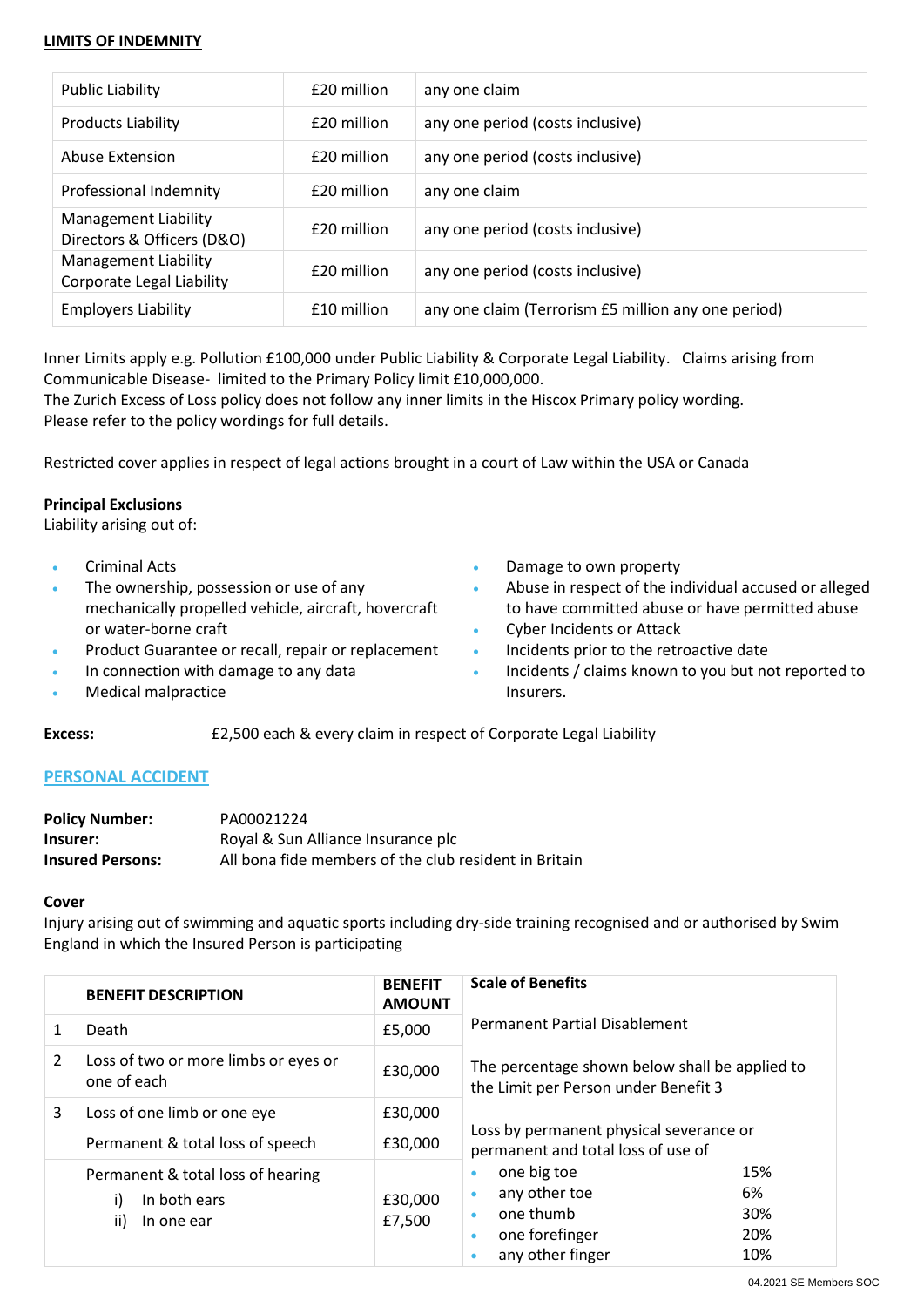#### **LIMITS OF INDEMNITY**

| Public Liability                                         | £20 million | any one claim                                       |
|----------------------------------------------------------|-------------|-----------------------------------------------------|
| <b>Products Liability</b>                                | £20 million | any one period (costs inclusive)                    |
| Abuse Extension                                          | £20 million | any one period (costs inclusive)                    |
| Professional Indemnity                                   | £20 million | any one claim                                       |
| Management Liability<br>Directors & Officers (D&O)       | £20 million | any one period (costs inclusive)                    |
| <b>Management Liability</b><br>Corporate Legal Liability | £20 million | any one period (costs inclusive)                    |
| <b>Employers Liability</b>                               | £10 million | any one claim (Terrorism £5 million any one period) |

Inner Limits apply e.g. Pollution £100,000 under Public Liability & Corporate Legal Liability. Claims arising from Communicable Disease- limited to the Primary Policy limit £10,000,000.

The Zurich Excess of Loss policy does not follow any inner limits in the Hiscox Primary policy wording. Please refer to the policy wordings for full details.

Restricted cover applies in respect of legal actions brought in a court of Law within the USA or Canada

### **Principal Exclusions**

Liability arising out of:

- Criminal Acts
- The ownership, possession or use of any mechanically propelled vehicle, aircraft, hovercraft or water-borne craft
- Product Guarantee or recall, repair or replacement
- In connection with damage to any data
- Medical malpractice
- Damage to own property
- Abuse in respect of the individual accused or alleged to have committed abuse or have permitted abuse
- Cyber Incidents or Attack
- Incidents prior to the retroactive date
- Incidents / claims known to you but not reported to Insurers.

### **Excess:** £2,500 each & every claim in respect of Corporate Legal Liability

### **PERSONAL ACCIDENT**

| <b>Policy Number:</b>   | PA00021224                                            |
|-------------------------|-------------------------------------------------------|
| Insurer:                | Royal & Sun Alliance Insurance plc                    |
| <b>Insured Persons:</b> | All bona fide members of the club resident in Britain |

#### **Cover**

Injury arising out of swimming and aquatic sports including dry-side training recognised and or authorised by Swim England in which the Insured Person is participating

|   | <b>BENEFIT DESCRIPTION</b>                                                   | <b>BENEFIT</b><br><b>AMOUNT</b> | <b>Scale of Benefits</b>                                                                                          |
|---|------------------------------------------------------------------------------|---------------------------------|-------------------------------------------------------------------------------------------------------------------|
| 1 | Death                                                                        | £5,000                          | <b>Permanent Partial Disablement</b>                                                                              |
| 2 | Loss of two or more limbs or eyes or<br>one of each                          | £30,000                         | The percentage shown below shall be applied to<br>the Limit per Person under Benefit 3                            |
| 3 | Loss of one limb or one eye                                                  | £30,000                         |                                                                                                                   |
|   | Permanent & total loss of speech                                             | £30,000                         | Loss by permanent physical severance or<br>permanent and total loss of use of                                     |
|   | Permanent & total loss of hearing<br>In both ears<br>i)<br>ii)<br>In one ear | £30,000<br>£7,500               | one big toe<br>15%<br>any other toe<br>6%<br>one thumb<br>30%<br>one forefinger<br>20%<br>any other finger<br>10% |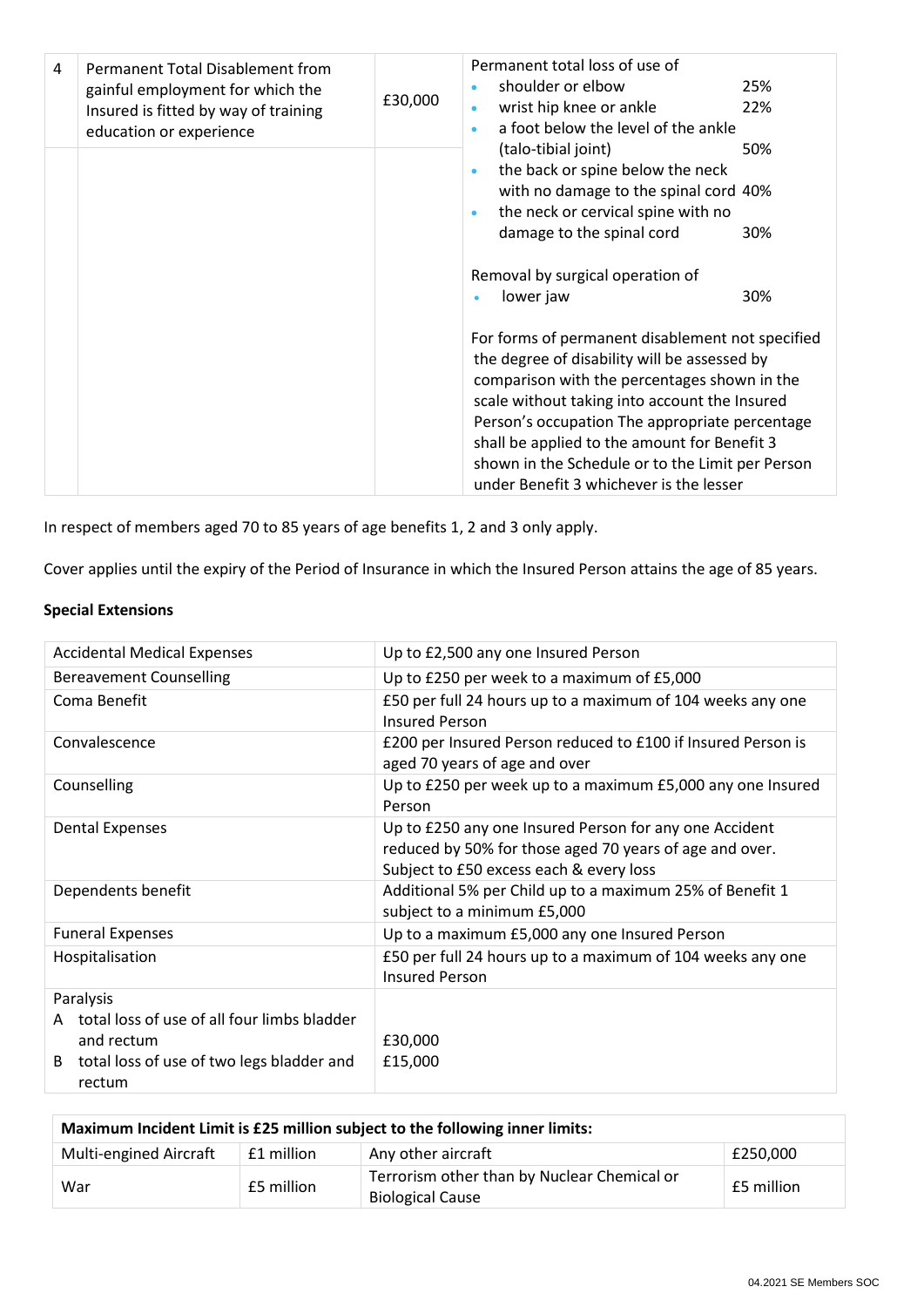| 4 | Permanent Total Disablement from<br>gainful employment for which the<br>Insured is fitted by way of training<br>education or experience | £30,000 | Permanent total loss of use of<br>shoulder or elbow<br>wrist hip knee or ankle<br>a foot below the level of the ankle<br>$\bullet$                                                                                                                                                                                                                                                                 | 25%<br>22%        |
|---|-----------------------------------------------------------------------------------------------------------------------------------------|---------|----------------------------------------------------------------------------------------------------------------------------------------------------------------------------------------------------------------------------------------------------------------------------------------------------------------------------------------------------------------------------------------------------|-------------------|
|   |                                                                                                                                         |         | (talo-tibial joint)<br>the back or spine below the neck<br>$\bullet$<br>with no damage to the spinal cord 40%<br>the neck or cervical spine with no<br>$\bullet$<br>damage to the spinal cord<br>Removal by surgical operation of<br>lower jaw                                                                                                                                                     | 50%<br>30%<br>30% |
|   |                                                                                                                                         |         | For forms of permanent disablement not specified<br>the degree of disability will be assessed by<br>comparison with the percentages shown in the<br>scale without taking into account the Insured<br>Person's occupation The appropriate percentage<br>shall be applied to the amount for Benefit 3<br>shown in the Schedule or to the Limit per Person<br>under Benefit 3 whichever is the lesser |                   |

In respect of members aged 70 to 85 years of age benefits 1, 2 and 3 only apply.

Cover applies until the expiry of the Period of Insurance in which the Insured Person attains the age of 85 years.

## **Special Extensions**

| <b>Accidental Medical Expenses</b>                                                                                                   | Up to £2,500 any one Insured Person                                                                                                                          |  |  |
|--------------------------------------------------------------------------------------------------------------------------------------|--------------------------------------------------------------------------------------------------------------------------------------------------------------|--|--|
| <b>Bereavement Counselling</b>                                                                                                       | Up to £250 per week to a maximum of £5,000                                                                                                                   |  |  |
| Coma Benefit                                                                                                                         | £50 per full 24 hours up to a maximum of 104 weeks any one<br><b>Insured Person</b>                                                                          |  |  |
| Convalescence                                                                                                                        | £200 per Insured Person reduced to £100 if Insured Person is<br>aged 70 years of age and over                                                                |  |  |
| Counselling                                                                                                                          | Up to £250 per week up to a maximum £5,000 any one Insured<br>Person                                                                                         |  |  |
| <b>Dental Expenses</b>                                                                                                               | Up to £250 any one Insured Person for any one Accident<br>reduced by 50% for those aged 70 years of age and over.<br>Subject to £50 excess each & every loss |  |  |
| Dependents benefit                                                                                                                   | Additional 5% per Child up to a maximum 25% of Benefit 1<br>subject to a minimum £5,000                                                                      |  |  |
| <b>Funeral Expenses</b>                                                                                                              | Up to a maximum £5,000 any one Insured Person                                                                                                                |  |  |
| Hospitalisation                                                                                                                      | £50 per full 24 hours up to a maximum of 104 weeks any one<br><b>Insured Person</b>                                                                          |  |  |
| Paralysis<br>A total loss of use of all four limbs bladder<br>and rectum<br>total loss of use of two legs bladder and<br>B<br>rectum | £30,000<br>£15,000                                                                                                                                           |  |  |

| Maximum Incident Limit is £25 million subject to the following inner limits: |            |                                                                        |            |
|------------------------------------------------------------------------------|------------|------------------------------------------------------------------------|------------|
| <b>Multi-engined Aircraft</b>                                                | £1 million | Any other aircraft                                                     | £250.000   |
| War                                                                          | £5 million | Terrorism other than by Nuclear Chemical or<br><b>Biological Cause</b> | £5 million |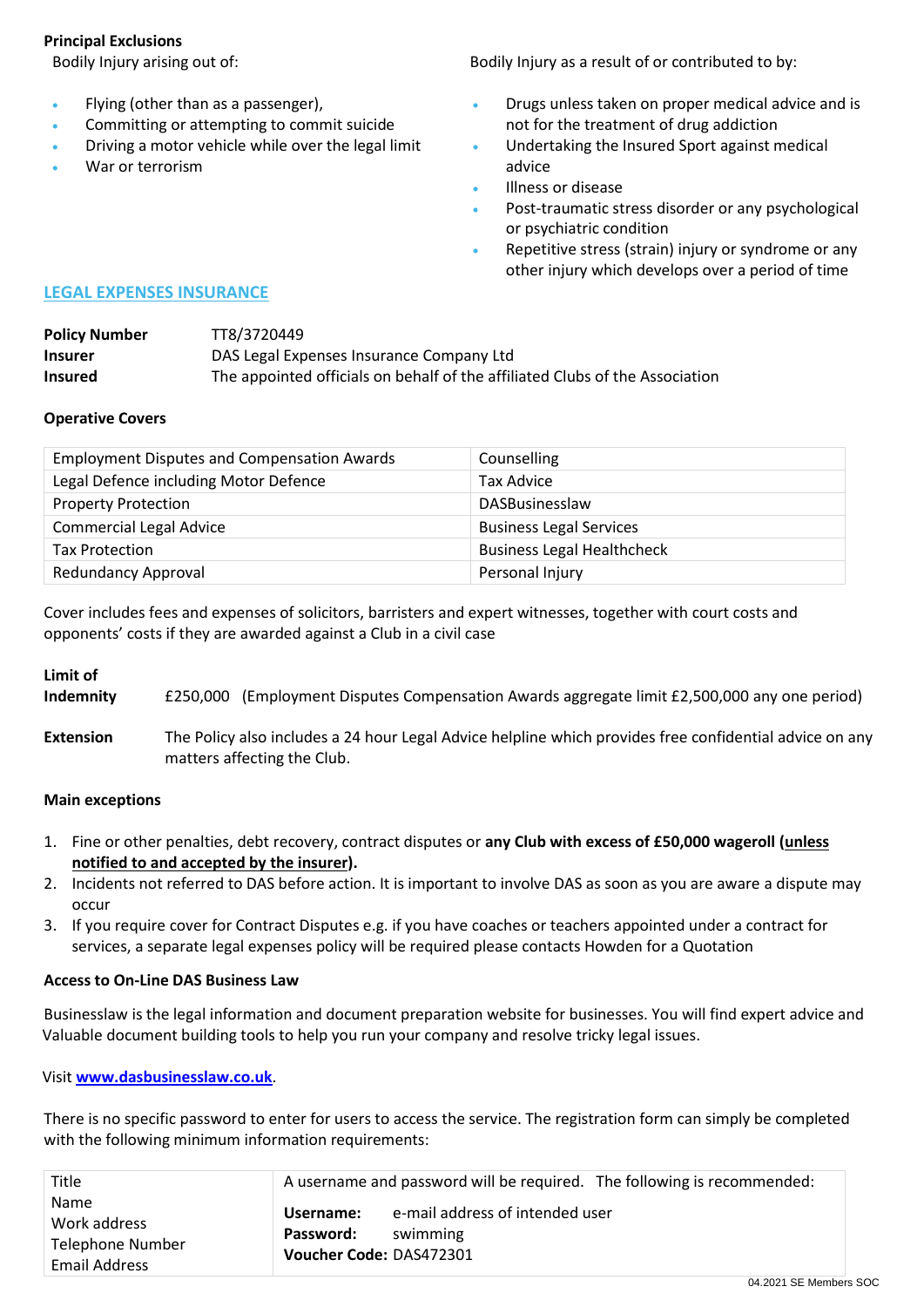### **Principal Exclusions**

- Flying (other than as a passenger),
- Committing or attempting to commit suicide
- Driving a motor vehicle while over the legal limit
- War or terrorism

Bodily Injury arising out of: **Bodily Injury as a result of or contributed to by:** Bodily Injury as a result of or contributed to by:

- Drugs unless taken on proper medical advice and is not for the treatment of drug addiction
- Undertaking the Insured Sport against medical advice
- Illness or disease
- Post-traumatic stress disorder or any psychological or psychiatric condition
- Repetitive stress (strain) injury or syndrome or any other injury which develops over a period of time

### **LEGAL EXPENSES INSURANCE**

| <b>Policy Number</b> | TT8/3720449                                                                  |
|----------------------|------------------------------------------------------------------------------|
| <b>Insurer</b>       | DAS Legal Expenses Insurance Company Ltd                                     |
| <b>Insured</b>       | The appointed officials on behalf of the affiliated Clubs of the Association |

### **Operative Covers**

| <b>Employment Disputes and Compensation Awards</b> | Counselling                       |
|----------------------------------------------------|-----------------------------------|
| Legal Defence including Motor Defence              | <b>Tax Advice</b>                 |
| <b>Property Protection</b>                         | <b>DASBusinesslaw</b>             |
| <b>Commercial Legal Advice</b>                     | <b>Business Legal Services</b>    |
| <b>Tax Protection</b>                              | <b>Business Legal Healthcheck</b> |
| <b>Redundancy Approval</b>                         | Personal Injury                   |

Cover includes fees and expenses of solicitors, barristers and expert witnesses, together with court costs and opponents' costs if they are awarded against a Club in a civil case

### **Limit of**

**Indemnity** £250,000 (Employment Disputes Compensation Awards aggregate limit £2,500,000 any one period)

**Extension** The Policy also includes a 24 hour Legal Advice helpline which provides free confidential advice on any matters affecting the Club.

### **Main exceptions**

- 1. Fine or other penalties, debt recovery, contract disputes or **any Club with excess of £50,000 wageroll (unless notified to and accepted by the insurer).**
- 2. Incidents not referred to DAS before action. It is important to involve DAS as soon as you are aware a dispute may occur
- 3. If you require cover for Contract Disputes e.g. if you have coaches or teachers appointed under a contract for services, a separate legal expenses policy will be required please contacts Howden for a Quotation

### **Access to On-Line DAS Business Law**

Businesslaw is the legal information and document preparation website for businesses. You will find expert advice and Valuable document building tools to help you run your company and resolve tricky legal issues.

Visit **[www.dasbusinesslaw.co.uk](http://www.dasbusinesslaw.co.uk/)**.

There is no specific password to enter for users to access the service. The registration form can simply be completed with the following minimum information requirements:

| <b>Name</b><br>e-mail address of intended user<br>Username:<br>Work address<br>Password:<br>swimming<br>Telephone Number<br>Voucher Code: DAS472301<br>Email Address |  |
|----------------------------------------------------------------------------------------------------------------------------------------------------------------------|--|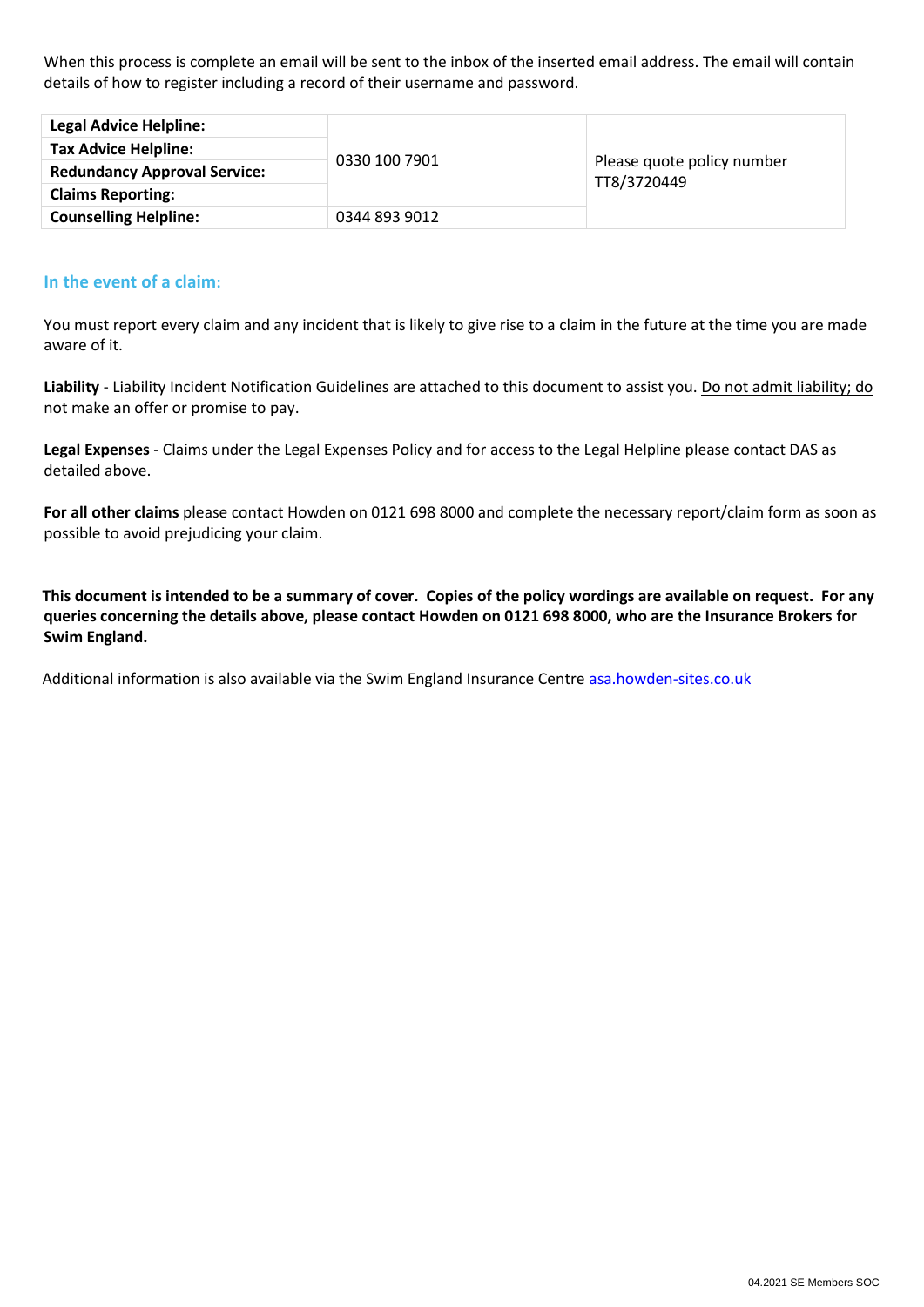When this process is complete an email will be sent to the inbox of the inserted email address. The email will contain details of how to register including a record of their username and password.

| <b>Legal Advice Helpline:</b>       |               | Please quote policy number<br>TT8/3720449 |
|-------------------------------------|---------------|-------------------------------------------|
| <b>Tax Advice Helpline:</b>         | 0330 100 7901 |                                           |
| <b>Redundancy Approval Service:</b> |               |                                           |
| <b>Claims Reporting:</b>            |               |                                           |
| <b>Counselling Helpline:</b>        | 0344 893 9012 |                                           |

### **In the event of a claim:**

You must report every claim and any incident that is likely to give rise to a claim in the future at the time you are made aware of it.

**Liability** - Liability Incident Notification Guidelines are attached to this document to assist you. Do not admit liability; do not make an offer or promise to pay.

**Legal Expenses** - Claims under the Legal Expenses Policy and for access to the Legal Helpline please contact DAS as detailed above.

**For all other claims** please contact Howden on 0121 698 8000 and complete the necessary report/claim form as soon as possible to avoid prejudicing your claim.

**This document is intended to be a summary of cover. Copies of the policy wordings are available on request. For any queries concerning the details above, please contact Howden on 0121 698 8000, who are the Insurance Brokers for Swim England.**

Additional information is also available via the Swim England Insurance Centr[e asa.howden-sites.co.uk](http://asa.howden-sites.co.uk/)